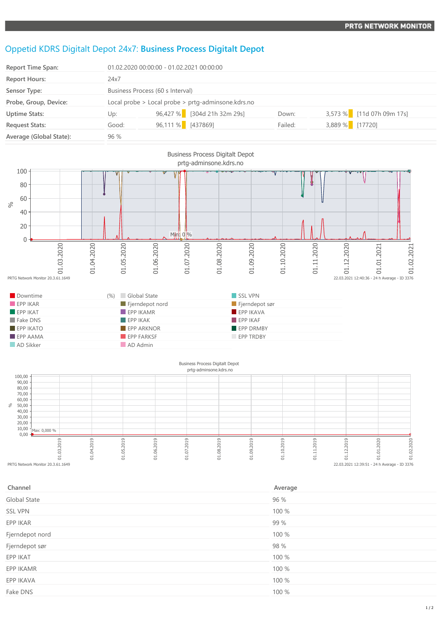## Oppetid KDRS Digitalt Depot 24x7: **Business Process Digitalt Depot**

| <b>Report Time Span:</b> | 01.02.2020 00:00:00 - 01.02.2021 00:00:00          |                   |                             |         |                 |                           |
|--------------------------|----------------------------------------------------|-------------------|-----------------------------|---------|-----------------|---------------------------|
| <b>Report Hours:</b>     | 24x7                                               |                   |                             |         |                 |                           |
| Sensor Type:             | Business Process (60 s Interval)                   |                   |                             |         |                 |                           |
| Probe, Group, Device:    | Local probe > Local probe > prtg-adminsone.kdrs.no |                   |                             |         |                 |                           |
| <b>Uptime Stats:</b>     | Up:                                                |                   | 96,427 % [304d 21h 32m 29s] | Down:   |                 | 3,573 % [11d 07h 09m 17s] |
| <b>Request Stats:</b>    | Good:                                              | 96,111 % [437869] |                             | Failed: | 3,889 % [17720] |                           |
| Average (Global State):  | 96%                                                |                   |                             |         |                 |                           |



## Business Process Digitalt Depot



| Channel         | Average |
|-----------------|---------|
| Global State    | 96 %    |
| <b>SSL VPN</b>  | 100 %   |
| EPP IKAR        | 99 %    |
| Fjerndepot nord | 100 %   |
| Fjerndepot sør  | 98 %    |
| EPP IKAT        | 100 %   |
| EPP IKAMR       | 100 %   |
| EPP IKAVA       | 100 %   |
| Fake DNS        | 100 %   |
|                 |         |